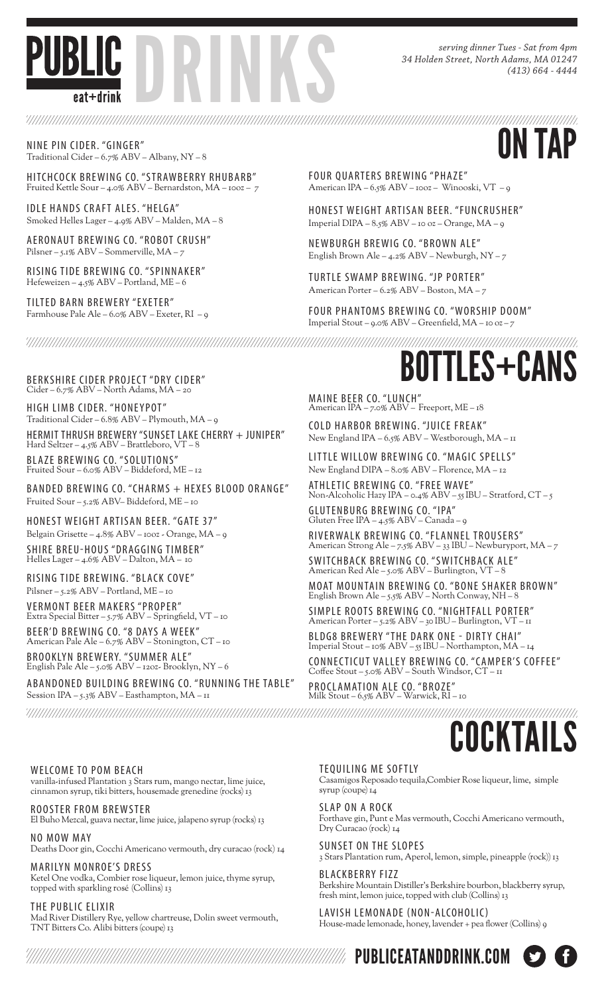

*serving dinner Tues - Sat from 4pm 34 Holden Street, North Adams, MA 01247 (413) 664 - 4444*

NINE PIN CIDER. "GINGER"<br>Traditional Cider – 6.7% ABV – Albany, NY – 8 Traditional Cider – 6.7% ABV – Albany, NY – 8

HITCHCOCK BREWING CO. "STRAWBERRY RHUBARB" Fruited Kettle Sour – 4.0% ABV – Bernardston, MA – 10oz – 7

IDLE HANDS CRAFT ALES. "HELGA" Smoked Helles Lager – 4.9% ABV – Malden, MA – 8

AERONAUT BREWING CO. "ROBOT CRUSH" Pilsner – 5.1% ABV – Sommerville, MA – 7

RISING TIDE BREWING CO. "SPINNAKER" Hefeweizen – 4.5% ABV – Portland, ME – 6

TILTED BARN BREWERY "EXETER" Farmhouse Pale Ale – 6.0% ABV – Exeter, RI – 9 FOUR QUARTERS BREWING "PHAZE" American IPA – 6.5% ABV – 10oz – Winooski, VT – 9

HONEST WEIGHT ARTISAN BEER. "FUNCRUSHER" Imperial DIPA – 8.5% ABV – 10 oz – Orange, MA – 9

NEWBURGH BREWIG CO. "BROWN ALE" English Brown Ale –  $4.2\%$  ABV – Newburgh, NY – 7

TURTLE SWAMP BREWING. "JP PORTER" American Porter – 6.2% ABV – Boston, MA – 7

FOUR PHANTOMS BREWING CO. "WORSHIP DOOM" Imperial Stout – 9.0% ABV – Greenfield, MA – 10 oz – 7

Cider – 6.7% ABV – North Adams, MA – 20

HIGH LIMB CIDER. "HONEYPOT" Traditional Cider – 6.8% ABV – Plymouth, MA – 9

HERMIT THRUSH BREWERY "SUNSET LAKE CHERRY + JUNIPER" Hard Seltzer – 4.5% ABV – Brattleboro, VT – 8

BLA ZE BRE WING CO. "SOLUTIONS" Fruited Sour – 6.0% ABV – Biddeford, ME – 12

BANDED BREWING CO. "CHARMS + HEXES BLOOD ORANGE" Fruited Sour – 5.2% ABV– Biddeford, ME – 10

HONEST WEIGHT ARTISAN BEER. "GATE 37" Belgain Grisette – 4.8% ABV – 10oz - Orange, MA – 9

SHIRE BREU-HOUS "DRAGGING TIMBER" Helles Lager – 4.6% ABV – Dalton, MA – 10

RISING TIDE BREWING. "BLACK COVE" Pilsner – 5.2% ABV – Portland, ME – 10

VERMONT BEER MAKERS "PROPER" Extra Special Bitter – 5.7% ABV – Springfield, VT – 10

BEER'D BREWING CO. "8 DAYS A WEEK" American Pale Ale – 6.7% ABV – Stonington, CT – 10

BROOKLYN BREWERY. "SUMMER ALE" English Pale Ale – 5.0% ABV – 12oz- Brooklyn, NY – 6

ABANDONED BUILDING BREWING CO. "RUNNING THE TABLE" Session IPA – 5.3% ABV – Easthampton, MA – 11

BERKSHIRE CIDER PROJECT "DRY CIDER" **EXERCITED AND RESERVED BOTTLES+CANS** 

MAINE BEER CO. "LUNCH" American IPA – 7.0% ABV – Freeport, ME – 18

COLD HARBOR BREWING. "JUICE FREAK" New England IPA – 6.5% ABV – Westborough, MA – 11

LITTLE WILLOW BREWING CO. "MAGIC SPELLS" New England DIPA – 8.0% ABV – Florence, MA – 12

ATHLETIC BRE WING CO. "FREE WAVE" Non-Alcoholic Hazy IPA – 0.4% ABV – 55 IBU – Stratford, CT – 5 GLUTENBURG BRE WING CO. "IPA"

Gluten Free IPA – 4.5% ABV – Canada – 9 RIVERWALK BREWING CO. "FLANNEL TROUSERS" American Strong Ale – 7.5% ABV – 33 IBU – Newburyport, MA – 7

SWITCHBACK BREWING CO. "SWITCHBACK ALE" American Red Ale – 5.0% ABV – Burlington, VT – 8

MOAT MOUNTAIN BREWING CO. "BONE SHAKER BROWN" English Brown Ale – 5.5% ABV – North Conway, NH – 8

SIMPLE ROOTS BRE WING CO. "NIGHTFALL PORTER" American Porter – 5.2% ABV – 30 IBU – Burlington, VT – 11

BLDG8 BREWERY "THE DARK ONE - DIRTY CHAI" Imperial Stout – 10% ABV – 55 IBU – Northampton, MA – 14

CONNEC TICUT VALLE Y BRE WING CO. "CAMPER'S COFFEE" Coffee Stout – 5.0% ABV – South Windsor, CT – 11

PROCLAMATION ALE CO. "BROZE" Milk Stout – 6.5% ABV – Warwick, RI – 10

#### WELCOME TO POM BEACH

vanilla-infused Plantation 3 Stars rum, mango nectar, lime juice, cinnamon syrup, tiki bitters, housemade grenedine (rocks) 13

ROOSTER FROM BREWSTER El Buho Mezcal, guava nectar, lime juice, jalapeno syrup (rocks) 13

NO MOW MAY Deaths Door gin, Cocchi Americano vermouth, dry curacao (rock) 14

MARILYN MONROE'S DRESS Ketel One vodka, Combier rose liqueur, lemon juice, thyme syrup, topped with sparkling rosé (Collins) 13

THE PUBLIC ELIXIR Mad River Distillery Rye, yellow chartreuse, Dolin sweet vermouth, TNT Bitters Co. Alibi bitters (coupe) 13

TEQUILING ME SOFTLY

Casamigos Reposado tequila,Combier Rose liqueur, lime, simple syrup (coupe) 14

COCKTAIL

SLAP ON A ROCK Forthave gin, Punt e Mas vermouth, Cocchi Americano vermouth, Dry Curacao (rock) 14

SUNSET ON THE SLOPES 3 Stars Plantation rum, Aperol, lemon, simple, pineapple (rock)) 13

BLACKBERRY FIZZ Berkshire Mountain Distiller's Berkshire bourbon, blackberry syrup, fresh mint, lemon juice, topped with club (Collins) 13

LAVISH LEMONADE (NON-ALCOHOLIC) House-made lemonade, honey, lavender + pea flower (Collins) 9